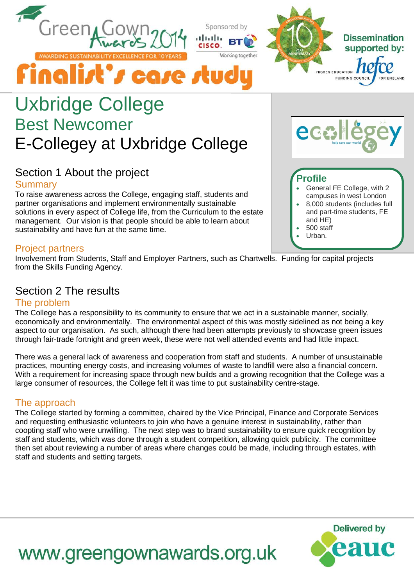

Sponsored by

Working togeth



# Uxbridge College Best Newcomer E-Collegey at Uxbridge College

Finalist's case stud

## Section 1 About the project **Summary**

To raise awareness across the College, engaging staff, students and partner organisations and implement environmentally sustainable solutions in every aspect of College life, from the Curriculum to the estate management. Our vision is that people should be able to learn about sustainability and have fun at the same time.

### Project partners

Involvement from Students, Staff and Employer Partners, such as Chartwells. Funding for capital projects from the Skills Funding Agency.

# Section 2 The results

#### The problem

The College has a responsibility to its community to ensure that we act in a sustainable manner, socially, economically and environmentally. The environmental aspect of this was mostly sidelined as not being a key aspect to our organisation. As such, although there had been attempts previously to showcase green issues through fair-trade fortnight and green week, these were not well attended events and had little impact.

There was a general lack of awareness and cooperation from staff and students. A number of unsustainable practices, mounting energy costs, and increasing volumes of waste to landfill were also a financial concern. With a requirement for increasing space through new builds and a growing recognition that the College was a large consumer of resources, the College felt it was time to put sustainability centre-stage.

## The approach

The College started by forming a committee, chaired by the Vice Principal, Finance and Corporate Services and requesting enthusiastic volunteers to join who have a genuine interest in sustainability, rather than coopting staff who were unwilling. The next step was to brand sustainability to ensure quick recognition by staff and students, which was done through a student competition, allowing quick publicity. The committee then set about reviewing a number of areas where changes could be made, including through estates, with staff and students and setting targets.

www.greengownawards.org.uk



# **Profile**

- General FE College, with 2 campuses in west London
- 8,000 students (includes full and part-time students, FE and HE)
- 500 staff
- Urban.

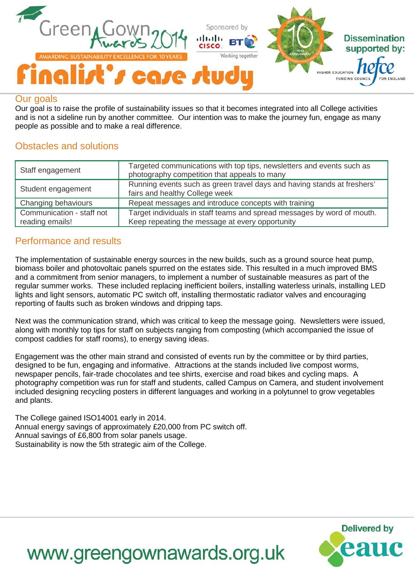

#### Our goals

Our goal is to raise the profile of sustainability issues so that it becomes integrated into all College activities and is not a sideline run by another committee. Our intention was to make the journey fun, engage as many people as possible and to make a real difference.

### Obstacles and solutions

| Staff engagement                             | Targeted communications with top tips, newsletters and events such as<br>photography competition that appeals to many      |
|----------------------------------------------|----------------------------------------------------------------------------------------------------------------------------|
| Student engagement                           | Running events such as green travel days and having stands at freshers'<br>fairs and healthy College week                  |
| Changing behaviours                          | Repeat messages and introduce concepts with training                                                                       |
| Communication - staff not<br>reading emails! | Target individuals in staff teams and spread messages by word of mouth.<br>Keep repeating the message at every opportunity |

### Performance and results

The implementation of sustainable energy sources in the new builds, such as a ground source heat pump, biomass boiler and photovoltaic panels spurred on the estates side. This resulted in a much improved BMS and a commitment from senior managers, to implement a number of sustainable measures as part of the regular summer works. These included replacing inefficient boilers, installing waterless urinals, installing LED lights and light sensors, automatic PC switch off, installing thermostatic radiator valves and encouraging reporting of faults such as broken windows and dripping taps.

Next was the communication strand, which was critical to keep the message going. Newsletters were issued, along with monthly top tips for staff on subjects ranging from composting (which accompanied the issue of compost caddies for staff rooms), to energy saving ideas.

Engagement was the other main strand and consisted of events run by the committee or by third parties, designed to be fun, engaging and informative. Attractions at the stands included live compost worms, newspaper pencils, fair-trade chocolates and tee shirts, exercise and road bikes and cycling maps. A photography competition was run for staff and students, called Campus on Camera, and student involvement included designing recycling posters in different languages and working in a polytunnel to grow vegetables and plants.

The College gained ISO14001 early in 2014. Annual energy savings of approximately £20,000 from PC switch off. Annual savings of £6,800 from solar panels usage. Sustainability is now the 5th strategic aim of the College.



# www.greengownawards.org.uk